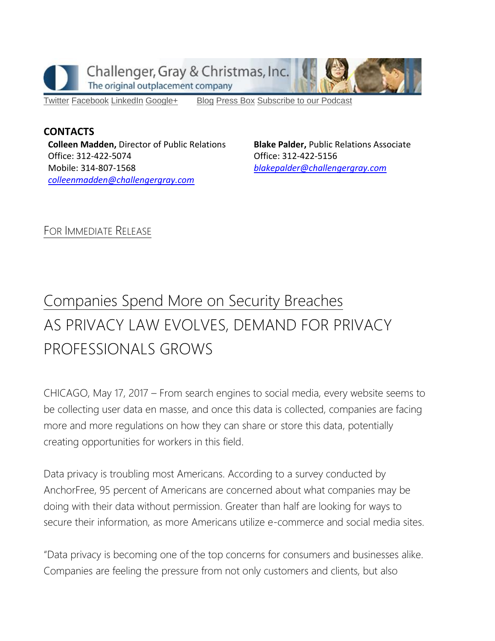

[Twitter](https://twitter.com/#!/ChallengerGray) [Facebook](https://www.facebook.com/ChallengerGray) [LinkedIn](http://www.linkedin.com/company/28264?trk=tyah) [Google+](https://plus.google.com/b/114363499979264115698/114363499979264115698) [Blog](http://www.challengergray.com/press/blog) [Press](http://www.challengergray.com/press/press-releases) Box [Subscribe](https://itunes.apple.com/us/podcast/challenger-podcast-hr-passport/id1155541697?mt=2) to our Podcast

**CONTACTS Colleen Madden,** Director of Public Relations Office: 312-422-5074 Mobile: 314-807-1568 *[colleenmadden@challengergray.com](mailto:colleenmadden@challengergray.com)* 

**Blake Palder,** Public Relations Associate Office: 312-422-5156 *[blakepalder@challengergray.com](mailto:blakepalder@challengergray.com)*

FOR IMMEDIATE RELEASE

## Companies Spend More on Security Breaches AS PRIVACY LAW EVOLVES, DEMAND FOR PRIVACY PROFESSIONALS GROWS

CHICAGO, May 17, 2017 – From search engines to social media, every website seems to be collecting user data en masse, and once this data is collected, companies are facing more and more regulations on how they can share or store this data, potentially creating opportunities for workers in this field.

Data privacy is troubling most Americans. According to a survey conducted by AnchorFree, 95 percent of Americans are concerned about what companies may be doing with their data without permission. Greater than half are looking for ways to secure their information, as more Americans utilize e-commerce and social media sites.

"Data privacy is becoming one of the top concerns for consumers and businesses alike. Companies are feeling the pressure from not only customers and clients, but also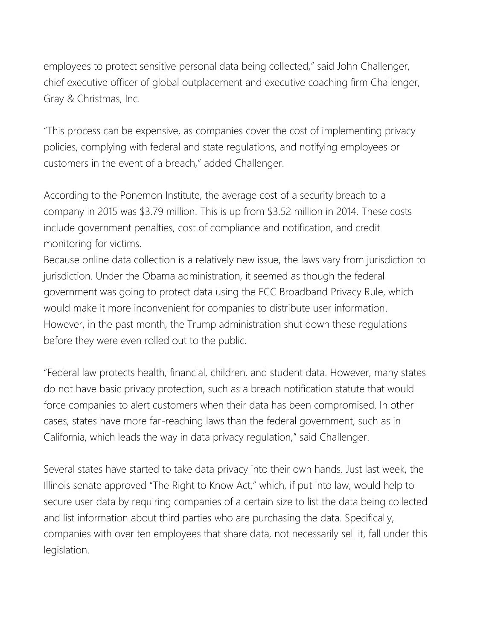employees to protect sensitive personal data being collected," said John Challenger, chief executive officer of global outplacement and executive coaching firm Challenger, Gray & Christmas, Inc.

"This process can be expensive, as companies cover the cost of implementing privacy policies, complying with federal and state regulations, and notifying employees or customers in the event of a breach," added Challenger.

According to the Ponemon Institute, the average cost of a security breach to a company in 2015 was \$3.79 million. This is up from \$3.52 million in 2014. These costs include government penalties, cost of compliance and notification, and credit monitoring for victims.

Because online data collection is a relatively new issue, the laws vary from jurisdiction to jurisdiction. Under the Obama administration, it seemed as though the federal government was going to protect data using the FCC Broadband Privacy Rule, which would make it more inconvenient for companies to distribute user information. However, in the past month, the Trump administration shut down these regulations before they were even rolled out to the public.

"Federal law protects health, financial, children, and student data. However, many states do not have basic privacy protection, such as a breach notification statute that would force companies to alert customers when their data has been compromised. In other cases, states have more far-reaching laws than the federal government, such as in California, which leads the way in data privacy regulation," said Challenger.

Several states have started to take data privacy into their own hands. Just last week, the Illinois senate approved "The Right to Know Act," which, if put into law, would help to secure user data by requiring companies of a certain size to list the data being collected and list information about third parties who are purchasing the data. Specifically, companies with over ten employees that share data, not necessarily sell it, fall under this legislation.